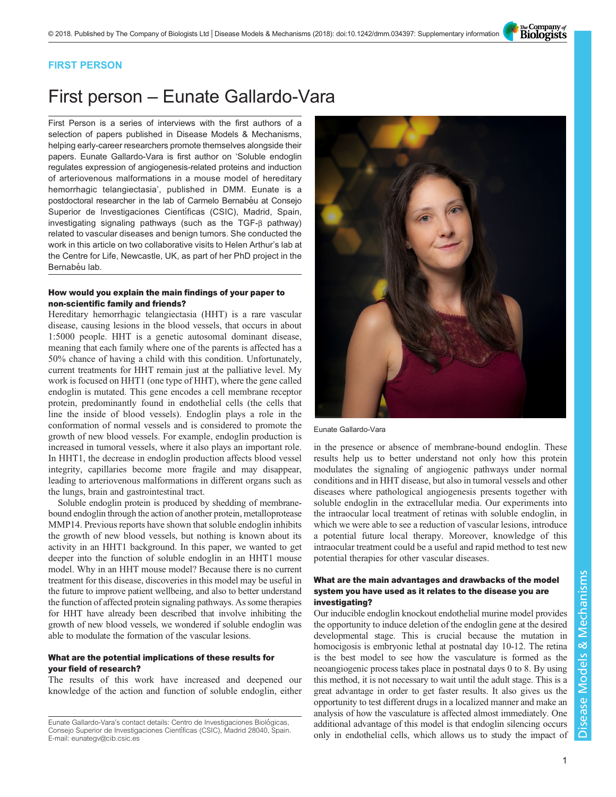The Company of<br>**Biologists** 

### FIRST PERSON

# First person – Eunate Gallardo-Vara

First Person is a series of interviews with the first authors of a selection of papers published in Disease Models & Mechanisms, helping early-career researchers promote themselves alongside their papers. Eunate Gallardo-Vara is first author on '[Soluble endoglin](#page-1-0) [regulates expression of angiogenesis-related proteins and induction](#page-1-0) [of arteriovenous malformations in a mouse model of hereditary](#page-1-0) [hemorrhagic telangiectasia](#page-1-0)', published in DMM. Eunate is a postdoctoral researcher in the lab of Carmelo Bernabéu at Consejo Superior de Investigaciones Científicas (CSIC), Madrid, Spain, investigating signaling pathways (such as the TGF-β pathway) related to vascular diseases and benign tumors. She conducted the work in this article on two collaborative visits to Helen Arthur's lab at the Centre for Life, Newcastle, UK, as part of her PhD project in the Bernabéu lab.

#### How would you explain the main findings of your paper to non-scientific family and friends?

Hereditary hemorrhagic telangiectasia (HHT) is a rare vascular disease, causing lesions in the blood vessels, that occurs in about 1:5000 people. HHT is a genetic autosomal dominant disease, meaning that each family where one of the parents is affected has a 50% chance of having a child with this condition. Unfortunately, current treatments for HHT remain just at the palliative level. My work is focused on HHT1 (one type of HHT), where the gene called endoglin is mutated. This gene encodes a cell membrane receptor protein, predominantly found in endothelial cells (the cells that line the inside of blood vessels). Endoglin plays a role in the conformation of normal vessels and is considered to promote the growth of new blood vessels. For example, endoglin production is increased in tumoral vessels, where it also plays an important role. In HHT1, the decrease in endoglin production affects blood vessel integrity, capillaries become more fragile and may disappear, leading to arteriovenous malformations in different organs such as the lungs, brain and gastrointestinal tract.

Soluble endoglin protein is produced by shedding of membranebound endoglin through the action of another protein, metalloprotease MMP14. Previous reports have shown that soluble endoglin inhibits the growth of new blood vessels, but nothing is known about its activity in an HHT1 background. In this paper, we wanted to get deeper into the function of soluble endoglin in an HHT1 mouse model. Why in an HHT mouse model? Because there is no current treatment for this disease, discoveries in this model may be useful in the future to improve patient wellbeing, and also to better understand the function of affected protein signaling pathways. As some therapies for HHT have already been described that involve inhibiting the growth of new blood vessels, we wondered if soluble endoglin was able to modulate the formation of the vascular lesions.

#### What are the potential implications of these results for your field of research?

The results of this work have increased and deepened our knowledge of the action and function of soluble endoglin, either



Eunate Gallardo-Vara

in the presence or absence of membrane-bound endoglin. These results help us to better understand not only how this protein modulates the signaling of angiogenic pathways under normal conditions and in HHT disease, but also in tumoral vessels and other diseases where pathological angiogenesis presents together with soluble endoglin in the extracellular media. Our experiments into the intraocular local treatment of retinas with soluble endoglin, in which we were able to see a reduction of vascular lesions, introduce a potential future local therapy. Moreover, knowledge of this intraocular treatment could be a useful and rapid method to test new potential therapies for other vascular diseases.

#### What are the main advantages and drawbacks of the model system you have used as it relates to the disease you are investigating?

Our inducible endoglin knockout endothelial murine model provides the opportunity to induce deletion of the endoglin gene at the desired developmental stage. This is crucial because the mutation in homocigosis is embryonic lethal at postnatal day 10-12. The retina is the best model to see how the vasculature is formed as the neoangiogenic process takes place in postnatal days 0 to 8. By using this method, it is not necessary to wait until the adult stage. This is a great advantage in order to get faster results. It also gives us the opportunity to test different drugs in a localized manner and make an analysis of how the vasculature is affected almost immediately. One additional advantage of this model is that endoglin silencing occurs only in endothelial cells, which allows us to study the impact of

Eunate Gallardo-Vara's contact details: Centro de Investigaciones Biológicas, Consejo Superior de Investigaciones Científicas (CSIC), Madrid 28040, Spain. E-mail: [eunategv@cib.csic.es](mailto:eunategv@cib.csic.es)